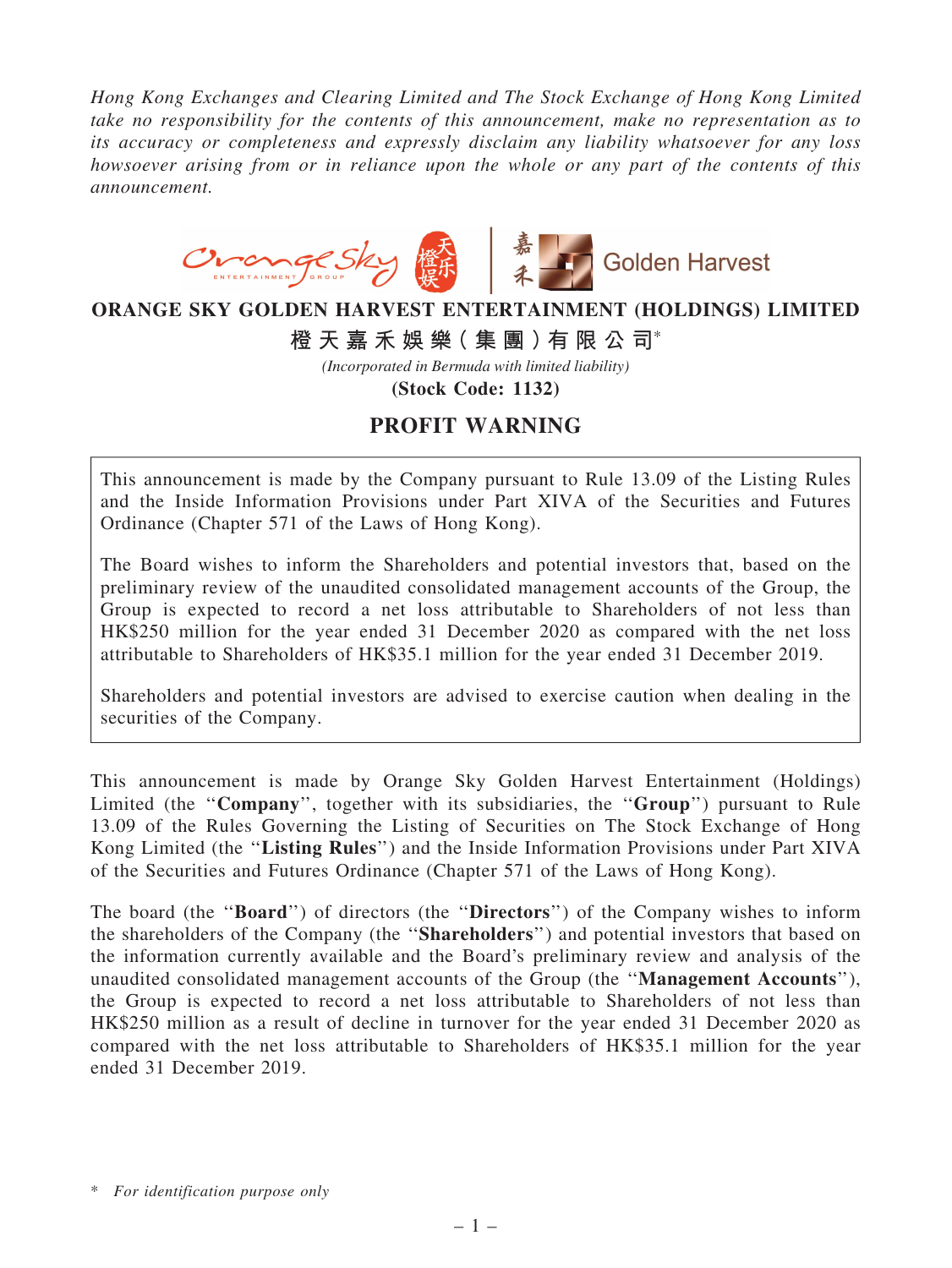*Hong Kong Exchanges and Clearing Limited and The Stock Exchange of Hong Kong Limited take no responsibility for the contents of this announcement, make no representation as to its accuracy or completeness and expressly disclaim any liability whatsoever for any loss howsoever arising from or in reliance upon the whole or any part of the contents of this announcement.*



## **ORANGE SKY GOLDEN HARVEST ENTERTAINMENT (HOLDINGS) LIMITED**

**橙 天 嘉 禾 娛 樂( 集 團 )有 限 公 司**\*

*(Incorporated in Bermuda with limited liability)*

**(Stock Code: 1132)**

## PROFIT WARNING

This announcement is made by the Company pursuant to Rule 13.09 of the Listing Rules and the Inside Information Provisions under Part XIVA of the Securities and Futures Ordinance (Chapter 571 of the Laws of Hong Kong).

The Board wishes to inform the Shareholders and potential investors that, based on the preliminary review of the unaudited consolidated management accounts of the Group, the Group is expected to record a net loss attributable to Shareholders of not less than HK\$250 million for the year ended 31 December 2020 as compared with the net loss attributable to Shareholders of HK\$35.1 million for the year ended 31 December 2019.

Shareholders and potential investors are advised to exercise caution when dealing in the securities of the Company.

This announcement is made by Orange Sky Golden Harvest Entertainment (Holdings) Limited (the "Company", together with its subsidiaries, the "Group") pursuant to Rule 13.09 of the Rules Governing the Listing of Securities on The Stock Exchange of Hong Kong Limited (the ''Listing Rules'') and the Inside Information Provisions under Part XIVA of the Securities and Futures Ordinance (Chapter 571 of the Laws of Hong Kong).

The board (the "**Board**") of directors (the "**Directors**") of the Company wishes to inform the shareholders of the Company (the ''Shareholders'') and potential investors that based on the information currently available and the Board's preliminary review and analysis of the unaudited consolidated management accounts of the Group (the ''Management Accounts''), the Group is expected to record a net loss attributable to Shareholders of not less than HK\$250 million as a result of decline in turnover for the year ended 31 December 2020 as compared with the net loss attributable to Shareholders of HK\$35.1 million for the year ended 31 December 2019.

<sup>\*</sup> *For identification purpose only*